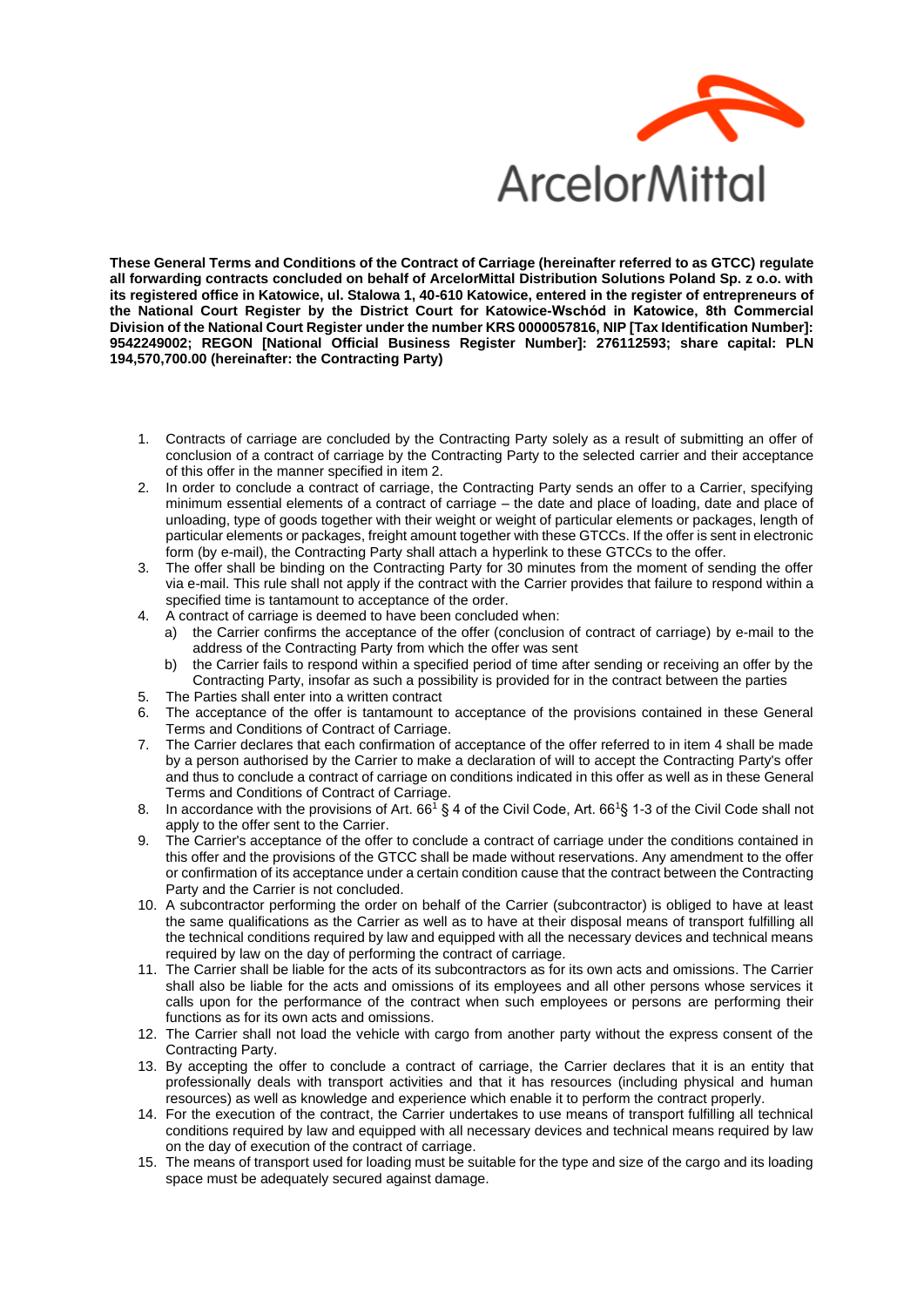

**These General Terms and Conditions of the Contract of Carriage (hereinafter referred to as GTCC) regulate all forwarding contracts concluded on behalf of ArcelorMittal Distribution Solutions Poland Sp. z o.o. with its registered office in Katowice, ul. Stalowa 1, 40-610 Katowice, entered in the register of entrepreneurs of the National Court Register by the District Court for Katowice-Wschód in Katowice, 8th Commercial Division of the National Court Register under the number KRS 0000057816, NIP [Tax Identification Number]: 9542249002; REGON [National Official Business Register Number]: 276112593; share capital: PLN 194,570,700.00 (hereinafter: the Contracting Party)**

- 1. Contracts of carriage are concluded by the Contracting Party solely as a result of submitting an offer of conclusion of a contract of carriage by the Contracting Party to the selected carrier and their acceptance of this offer in the manner specified in item 2.
- 2. In order to conclude a contract of carriage, the Contracting Party sends an offer to a Carrier, specifying minimum essential elements of a contract of carriage – the date and place of loading, date and place of unloading, type of goods together with their weight or weight of particular elements or packages, length of particular elements or packages, freight amount together with these GTCCs. If the offer is sent in electronic form (by e-mail), the Contracting Party shall attach a hyperlink to these GTCCs to the offer.
- 3. The offer shall be binding on the Contracting Party for 30 minutes from the moment of sending the offer via e-mail. This rule shall not apply if the contract with the Carrier provides that failure to respond within a specified time is tantamount to acceptance of the order.
- 4. A contract of carriage is deemed to have been concluded when:
	- a) the Carrier confirms the acceptance of the offer (conclusion of contract of carriage) by e-mail to the address of the Contracting Party from which the offer was sent
	- b) the Carrier fails to respond within a specified period of time after sending or receiving an offer by the Contracting Party, insofar as such a possibility is provided for in the contract between the parties
- 5. The Parties shall enter into a written contract
- 6. The acceptance of the offer is tantamount to acceptance of the provisions contained in these General Terms and Conditions of Contract of Carriage.
- 7. The Carrier declares that each confirmation of acceptance of the offer referred to in item 4 shall be made by a person authorised by the Carrier to make a declaration of will to accept the Contracting Party's offer and thus to conclude a contract of carriage on conditions indicated in this offer as well as in these General Terms and Conditions of Contract of Carriage.
- 8. In accordance with the provisions of Art. 66<sup>1</sup> § 4 of the Civil Code, Art. 66<sup>1</sup>§ 1-3 of the Civil Code shall not apply to the offer sent to the Carrier.
- 9. The Carrier's acceptance of the offer to conclude a contract of carriage under the conditions contained in this offer and the provisions of the GTCC shall be made without reservations. Any amendment to the offer or confirmation of its acceptance under a certain condition cause that the contract between the Contracting Party and the Carrier is not concluded.
- 10. A subcontractor performing the order on behalf of the Carrier (subcontractor) is obliged to have at least the same qualifications as the Carrier as well as to have at their disposal means of transport fulfilling all the technical conditions required by law and equipped with all the necessary devices and technical means required by law on the day of performing the contract of carriage.
- 11. The Carrier shall be liable for the acts of its subcontractors as for its own acts and omissions. The Carrier shall also be liable for the acts and omissions of its employees and all other persons whose services it calls upon for the performance of the contract when such employees or persons are performing their functions as for its own acts and omissions.
- 12. The Carrier shall not load the vehicle with cargo from another party without the express consent of the Contracting Party.
- 13. By accepting the offer to conclude a contract of carriage, the Carrier declares that it is an entity that professionally deals with transport activities and that it has resources (including physical and human resources) as well as knowledge and experience which enable it to perform the contract properly.
- 14. For the execution of the contract, the Carrier undertakes to use means of transport fulfilling all technical conditions required by law and equipped with all necessary devices and technical means required by law on the day of execution of the contract of carriage.
- 15. The means of transport used for loading must be suitable for the type and size of the cargo and its loading space must be adequately secured against damage.